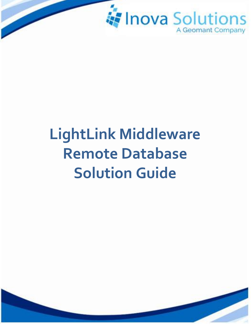

# **LightLink Middleware Remote Database Solution Guide**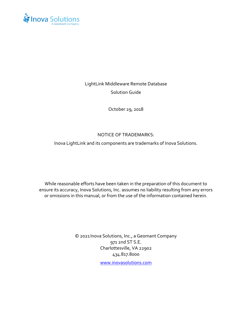

# LightLink Middleware Remote Database Solution Guide

October 29, 2018

#### NOTICE OF TRADEMARKS:

Inova LightLink and its components are trademarks of Inova Solutions.

While reasonable efforts have been taken in the preparation of this document to ensure its accuracy, Inova Solutions, Inc. assumes no liability resulting from any errors or omissions in this manual, or from the use of the information contained herein.

> © 2021 Inova Solutions, Inc., a Geomant Company 971 2nd ST S.E. Charlottesville, VA 22902 434.817.8000

> > [www.inovasolutions.com](http://www.inovasolutions.com/)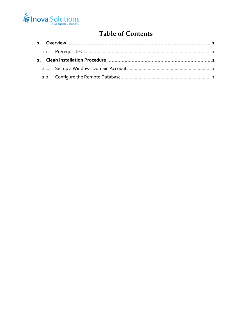

# **Table of Contents**